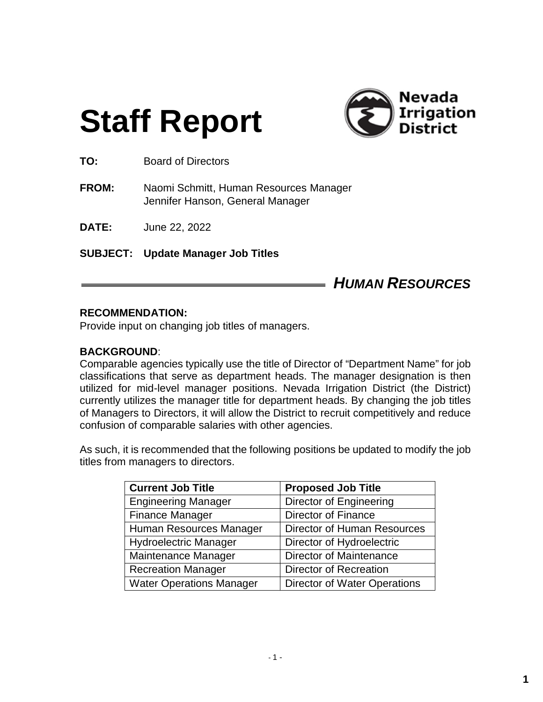# **Staff Report**



**TO:** Board of Directors

**FROM:** Naomi Schmitt, Human Resources Manager Jennifer Hanson, General Manager

**DATE:** June 22, 2022

**SUBJECT: Update Manager Job Titles**

# *HUMAN RESOURCES*

#### **RECOMMENDATION:**

Provide input on changing job titles of managers.

#### **BACKGROUND**:

Comparable agencies typically use the title of Director of "Department Name" for job classifications that serve as department heads. The manager designation is then utilized for mid-level manager positions. Nevada Irrigation District (the District) currently utilizes the manager title for department heads. By changing the job titles of Managers to Directors, it will allow the District to recruit competitively and reduce confusion of comparable salaries with other agencies.

As such, it is recommended that the following positions be updated to modify the job titles from managers to directors.

| <b>Current Job Title</b>        | <b>Proposed Job Title</b>           |
|---------------------------------|-------------------------------------|
| <b>Engineering Manager</b>      | <b>Director of Engineering</b>      |
| <b>Finance Manager</b>          | <b>Director of Finance</b>          |
| Human Resources Manager         | Director of Human Resources         |
| <b>Hydroelectric Manager</b>    | Director of Hydroelectric           |
| Maintenance Manager             | <b>Director of Maintenance</b>      |
| <b>Recreation Manager</b>       | Director of Recreation              |
| <b>Water Operations Manager</b> | <b>Director of Water Operations</b> |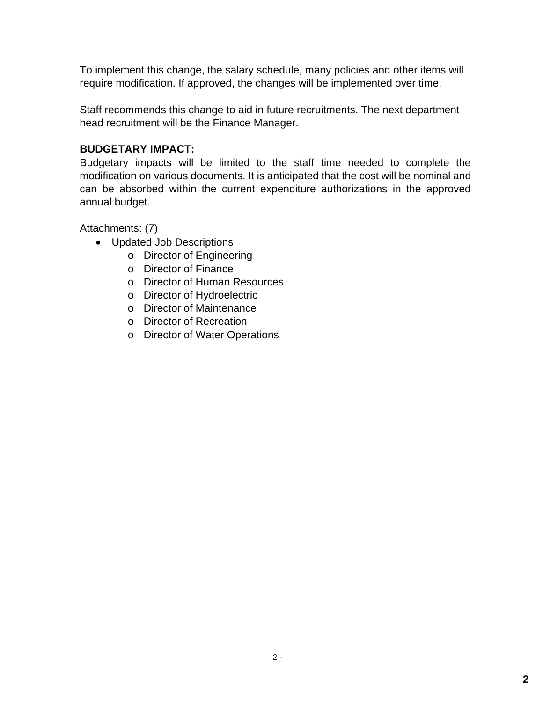To implement this change, the salary schedule, many policies and other items will require modification. If approved, the changes will be implemented over time.

Staff recommends this change to aid in future recruitments. The next department head recruitment will be the Finance Manager.

#### **BUDGETARY IMPACT:**

Budgetary impacts will be limited to the staff time needed to complete the modification on various documents. It is anticipated that the cost will be nominal and can be absorbed within the current expenditure authorizations in the approved annual budget.

Attachments: (7)

- Updated Job Descriptions
	- o Director of Engineering
	- o Director of Finance
	- o Director of Human Resources
	- o Director of Hydroelectric
	- o Director of Maintenance
	- o Director of Recreation
	- o Director of Water Operations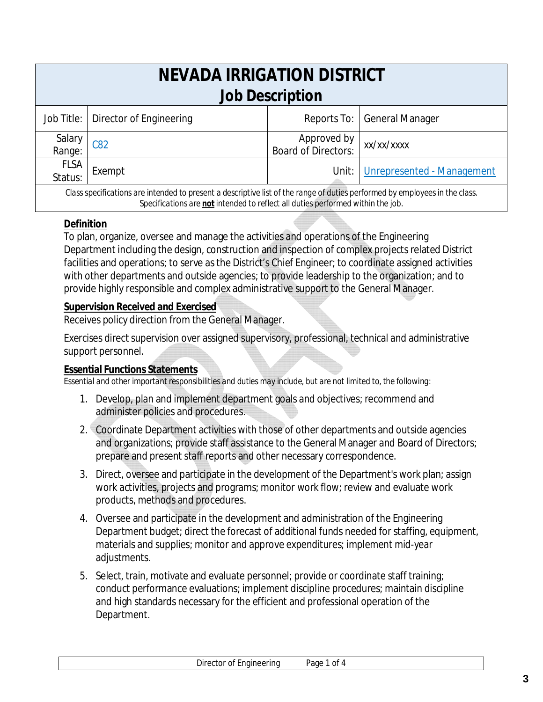| NEVADA IRRIGATION DISTRICT<br><b>Job Description</b>                                                                                                                                                           |                         |                                    |                               |
|----------------------------------------------------------------------------------------------------------------------------------------------------------------------------------------------------------------|-------------------------|------------------------------------|-------------------------------|
| Job Title:                                                                                                                                                                                                     | Director of Engineering |                                    | Reports To:   General Manager |
| Salary<br>Range:                                                                                                                                                                                               | C82                     | Approved by<br>Board of Directors: | xx/xx/xxxx                    |
| <b>FLSA</b><br>Status:                                                                                                                                                                                         | Exempt                  | Unit:                              | Unrepresented - Management    |
| Class specifications are intended to present a descriptive list of the range of duties performed by employees in the class.<br>Specifications are not intended to reflect all duties performed within the job. |                         |                                    |                               |

# **Definition**

To plan, organize, oversee and manage the activities and operations of the Engineering Department including the design, construction and inspection of complex projects related District facilities and operations; to serve as the District's Chief Engineer; to coordinate assigned activities with other departments and outside agencies; to provide leadership to the organization; and to provide highly responsible and complex administrative support to the General Manager.

# **Supervision Received and Exercised**

Receives policy direction from the General Manager.

Exercises direct supervision over assigned supervisory, professional, technical and administrative support personnel.

# **Essential Functions Statements**

- 1. Develop, plan and implement department goals and objectives; recommend and administer policies and procedures.
- 2. Coordinate Department activities with those of other departments and outside agencies and organizations; provide staff assistance to the General Manager and Board of Directors; prepare and present staff reports and other necessary correspondence.
- 3. Direct, oversee and participate in the development of the Department's work plan; assign work activities, projects and programs; monitor work flow; review and evaluate work products, methods and procedures.
- 4. Oversee and participate in the development and administration of the Engineering Department budget; direct the forecast of additional funds needed for staffing, equipment, materials and supplies; monitor and approve expenditures; implement mid-year adjustments.
- 5. Select, train, motivate and evaluate personnel; provide or coordinate staff training; conduct performance evaluations; implement discipline procedures; maintain discipline and high standards necessary for the efficient and professional operation of the Department.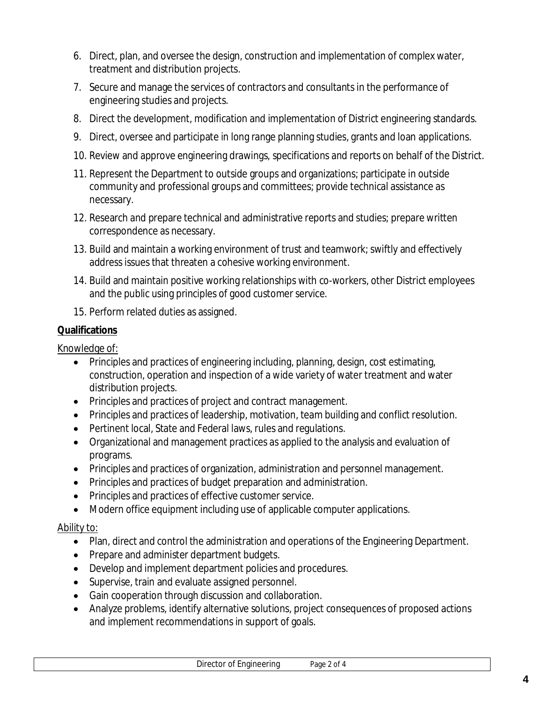- 6. Direct, plan, and oversee the design, construction and implementation of complex water, treatment and distribution projects.
- 7. Secure and manage the services of contractors and consultants in the performance of engineering studies and projects.
- 8. Direct the development, modification and implementation of District engineering standards.
- 9. Direct, oversee and participate in long range planning studies, grants and loan applications.
- 10. Review and approve engineering drawings, specifications and reports on behalf of the District.
- 11. Represent the Department to outside groups and organizations; participate in outside community and professional groups and committees; provide technical assistance as necessary.
- 12. Research and prepare technical and administrative reports and studies; prepare written correspondence as necessary.
- 13. Build and maintain a working environment of trust and teamwork; swiftly and effectively address issues that threaten a cohesive working environment.
- 14. Build and maintain positive working relationships with co-workers, other District employees and the public using principles of good customer service.
- 15. Perform related duties as assigned.

Knowledge of:

- Principles and practices of engineering including, planning, design, cost estimating, construction, operation and inspection of a wide variety of water treatment and water distribution projects.
- Principles and practices of project and contract management.
- Principles and practices of leadership, motivation, team building and conflict resolution.
- Pertinent local, State and Federal laws, rules and regulations.
- Organizational and management practices as applied to the analysis and evaluation of programs.
- Principles and practices of organization, administration and personnel management.
- Principles and practices of budget preparation and administration.
- Principles and practices of effective customer service.
- Modern office equipment including use of applicable computer applications.

#### Ability to:

- Plan, direct and control the administration and operations of the Engineering Department.
- Prepare and administer department budgets.
- Develop and implement department policies and procedures.
- Supervise, train and evaluate assigned personnel.
- Gain cooperation through discussion and collaboration.
- Analyze problems, identify alternative solutions, project consequences of proposed actions and implement recommendations in support of goals.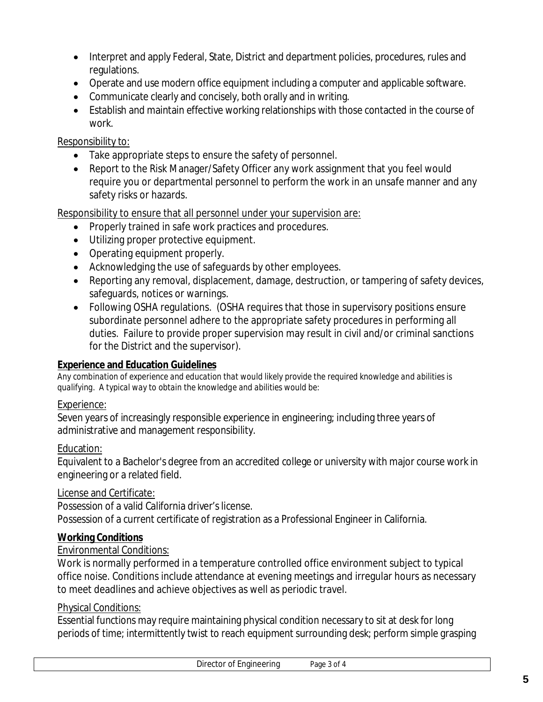- Interpret and apply Federal, State, District and department policies, procedures, rules and regulations.
- Operate and use modern office equipment including a computer and applicable software.
- Communicate clearly and concisely, both orally and in writing.
- Establish and maintain effective working relationships with those contacted in the course of work.

## Responsibility to:

- Take appropriate steps to ensure the safety of personnel.
- Report to the Risk Manager/Safety Officer any work assignment that you feel would require you or departmental personnel to perform the work in an unsafe manner and any safety risks or hazards.

Responsibility to ensure that all personnel under your supervision are:

- Properly trained in safe work practices and procedures.
- Utilizing proper protective equipment.
- Operating equipment properly.
- Acknowledging the use of safeguards by other employees.
- Reporting any removal, displacement, damage, destruction, or tampering of safety devices, safeguards, notices or warnings.
- Following OSHA regulations. (OSHA requires that those in supervisory positions ensure subordinate personnel adhere to the appropriate safety procedures in performing all duties. Failure to provide proper supervision may result in civil and/or criminal sanctions for the District and the supervisor).

#### **Experience and Education Guidelines**

*Any combination of experience and education that would likely provide the required knowledge and abilities is qualifying. A typical way to obtain the knowledge and abilities would be:*

#### Experience:

Seven years of increasingly responsible experience in engineering; including three years of administrative and management responsibility.

#### Education:

Equivalent to a Bachelor's degree from an accredited college or university with major course work in engineering or a related field.

# License and Certificate:

Possession of a valid California driver's license. Possession of a current certificate of registration as a Professional Engineer in California.

# **Working Conditions**

# Environmental Conditions:

Work is normally performed in a temperature controlled office environment subject to typical office noise. Conditions include attendance at evening meetings and irregular hours as necessary to meet deadlines and achieve objectives as well as periodic travel.

# Physical Conditions:

Essential functions may require maintaining physical condition necessary to sit at desk for long periods of time; intermittently twist to reach equipment surrounding desk; perform simple grasping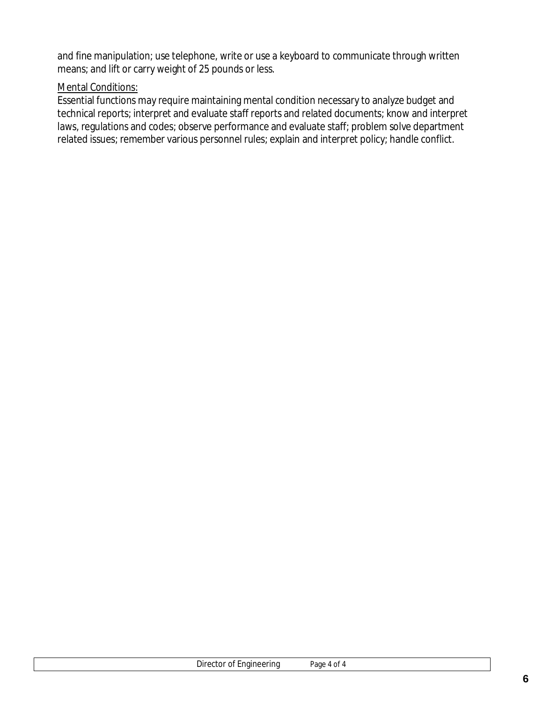and fine manipulation; use telephone, write or use a keyboard to communicate through written means; and lift or carry weight of 25 pounds or less.

#### **Mental Conditions:**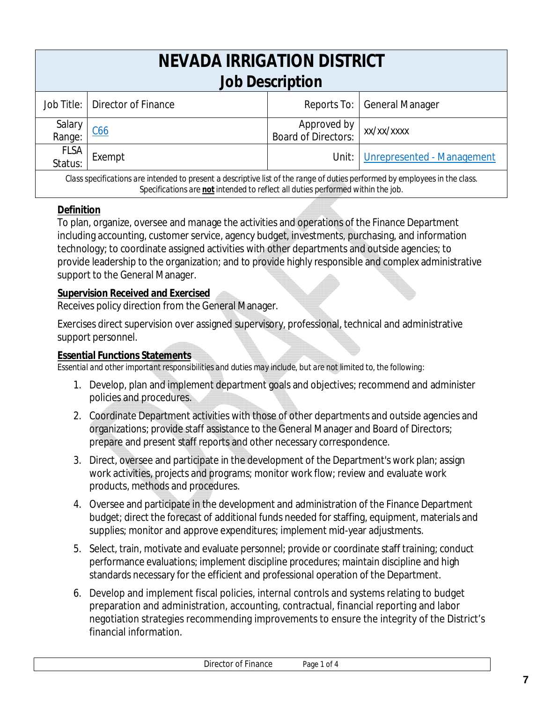| NEVADA IRRIGATION DISTRICT                                                                                                  |                     |                                      |                                    |
|-----------------------------------------------------------------------------------------------------------------------------|---------------------|--------------------------------------|------------------------------------|
| <b>Job Description</b>                                                                                                      |                     |                                      |                                    |
| Job Title:                                                                                                                  | Director of Finance |                                      | Reports To:   General Manager      |
| Salary                                                                                                                      |                     |                                      |                                    |
| Range:                                                                                                                      | C66                 | Approved by<br>  Board of Directors: | xx/xx/xxxx                         |
| <b>FLSA</b>                                                                                                                 |                     |                                      |                                    |
| Status:                                                                                                                     | Exempt              |                                      | Unit:   Unrepresented - Management |
| Class specifications are intended to present a descriptive list of the range of duties performed by employees in the class. |                     |                                      |                                    |

#### *Specifications are not intended to reflect all duties performed within the job.*

#### **Definition**

To plan, organize, oversee and manage the activities and operations of the Finance Department including accounting, customer service, agency budget, investments, purchasing, and information technology; to coordinate assigned activities with other departments and outside agencies; to provide leadership to the organization; and to provide highly responsible and complex administrative support to the General Manager.

#### **Supervision Received and Exercised**

Receives policy direction from the General Manager.

Exercises direct supervision over assigned supervisory, professional, technical and administrative support personnel.

#### **Essential Functions Statements**

- 1. Develop, plan and implement department goals and objectives; recommend and administer policies and procedures.
- 2. Coordinate Department activities with those of other departments and outside agencies and organizations; provide staff assistance to the General Manager and Board of Directors; prepare and present staff reports and other necessary correspondence.
- 3. Direct, oversee and participate in the development of the Department's work plan; assign work activities, projects and programs; monitor work flow; review and evaluate work products, methods and procedures.
- 4. Oversee and participate in the development and administration of the Finance Department budget; direct the forecast of additional funds needed for staffing, equipment, materials and supplies; monitor and approve expenditures; implement mid-year adjustments.
- 5. Select, train, motivate and evaluate personnel; provide or coordinate staff training; conduct performance evaluations; implement discipline procedures; maintain discipline and high standards necessary for the efficient and professional operation of the Department.
- 6. Develop and implement fiscal policies, internal controls and systems relating to budget preparation and administration, accounting, contractual, financial reporting and labor negotiation strategies recommending improvements to ensure the integrity of the District's financial information.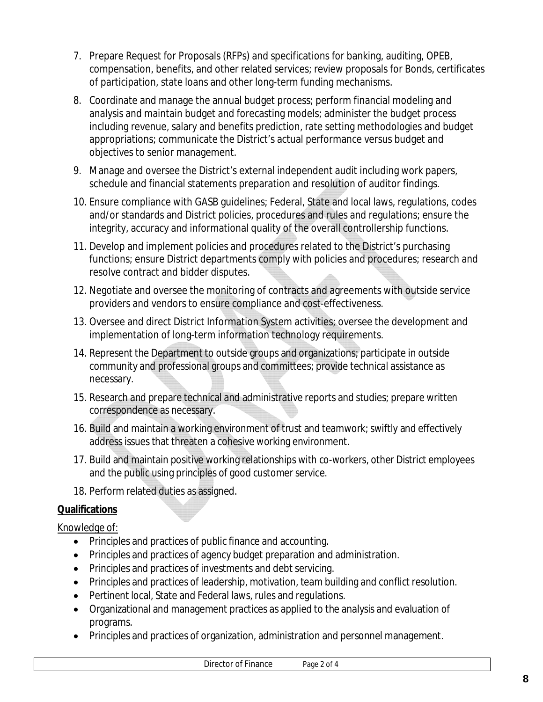- 7. Prepare Request for Proposals (RFPs) and specifications for banking, auditing, OPEB, compensation, benefits, and other related services; review proposals for Bonds, certificates of participation, state loans and other long-term funding mechanisms.
- 8. Coordinate and manage the annual budget process; perform financial modeling and analysis and maintain budget and forecasting models; administer the budget process including revenue, salary and benefits prediction, rate setting methodologies and budget appropriations; communicate the District's actual performance versus budget and objectives to senior management.
- 9. Manage and oversee the District's external independent audit including work papers, schedule and financial statements preparation and resolution of auditor findings.
- 10. Ensure compliance with GASB guidelines; Federal, State and local laws, regulations, codes and/or standards and District policies, procedures and rules and regulations; ensure the integrity, accuracy and informational quality of the overall controllership functions.
- 11. Develop and implement policies and procedures related to the District's purchasing functions; ensure District departments comply with policies and procedures; research and resolve contract and bidder disputes.
- 12. Negotiate and oversee the monitoring of contracts and agreements with outside service providers and vendors to ensure compliance and cost-effectiveness.
- 13. Oversee and direct District Information System activities; oversee the development and implementation of long-term information technology requirements.
- 14. Represent the Department to outside groups and organizations; participate in outside community and professional groups and committees; provide technical assistance as necessary.
- 15. Research and prepare technical and administrative reports and studies; prepare written correspondence as necessary.
- 16. Build and maintain a working environment of trust and teamwork; swiftly and effectively address issues that threaten a cohesive working environment.
- 17. Build and maintain positive working relationships with co-workers, other District employees and the public using principles of good customer service.
- 18. Perform related duties as assigned.

# Knowledge of:

- Principles and practices of public finance and accounting.
- Principles and practices of agency budget preparation and administration.
- Principles and practices of investments and debt servicing.
- Principles and practices of leadership, motivation, team building and conflict resolution.
- Pertinent local, State and Federal laws, rules and regulations.
- Organizational and management practices as applied to the analysis and evaluation of programs.
- Principles and practices of organization, administration and personnel management.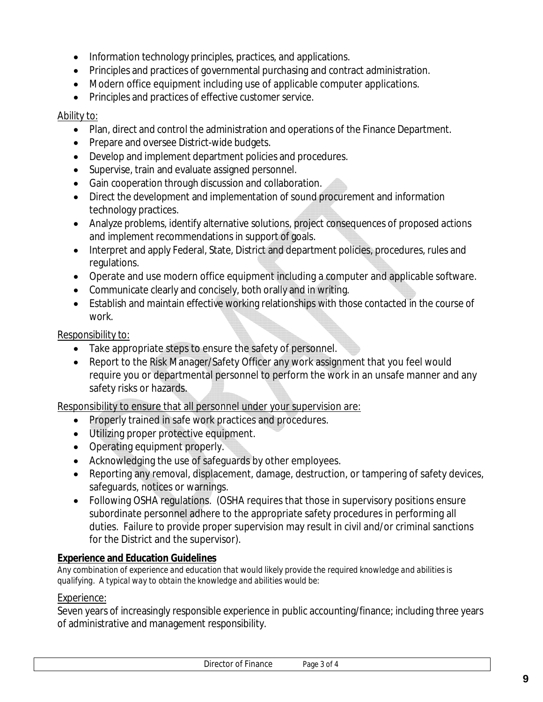- Information technology principles, practices, and applications.
- Principles and practices of governmental purchasing and contract administration.
- Modern office equipment including use of applicable computer applications.
- Principles and practices of effective customer service.

#### Ability to:

- Plan, direct and control the administration and operations of the Finance Department.
- Prepare and oversee District-wide budgets.
- Develop and implement department policies and procedures.
- Supervise, train and evaluate assigned personnel.
- Gain cooperation through discussion and collaboration.
- Direct the development and implementation of sound procurement and information technology practices.
- Analyze problems, identify alternative solutions, project consequences of proposed actions and implement recommendations in support of goals.
- Interpret and apply Federal, State, District and department policies, procedures, rules and regulations.
- Operate and use modern office equipment including a computer and applicable software.
- Communicate clearly and concisely, both orally and in writing.
- Establish and maintain effective working relationships with those contacted in the course of work.

#### Responsibility to:

- Take appropriate steps to ensure the safety of personnel.
- Report to the Risk Manager/Safety Officer any work assignment that you feel would require you or departmental personnel to perform the work in an unsafe manner and any safety risks or hazards.

Responsibility to ensure that all personnel under your supervision are:

- Properly trained in safe work practices and procedures.
- Utilizing proper protective equipment.
- Operating equipment properly.
- Acknowledging the use of safeguards by other employees.
- Reporting any removal, displacement, damage, destruction, or tampering of safety devices, safeguards, notices or warnings.
- Following OSHA regulations. (OSHA requires that those in supervisory positions ensure subordinate personnel adhere to the appropriate safety procedures in performing all duties. Failure to provide proper supervision may result in civil and/or criminal sanctions for the District and the supervisor).

#### **Experience and Education Guidelines**

*Any combination of experience and education that would likely provide the required knowledge and abilities is qualifying. A typical way to obtain the knowledge and abilities would be:*

#### Experience:

Seven years of increasingly responsible experience in public accounting/finance; including three years of administrative and management responsibility.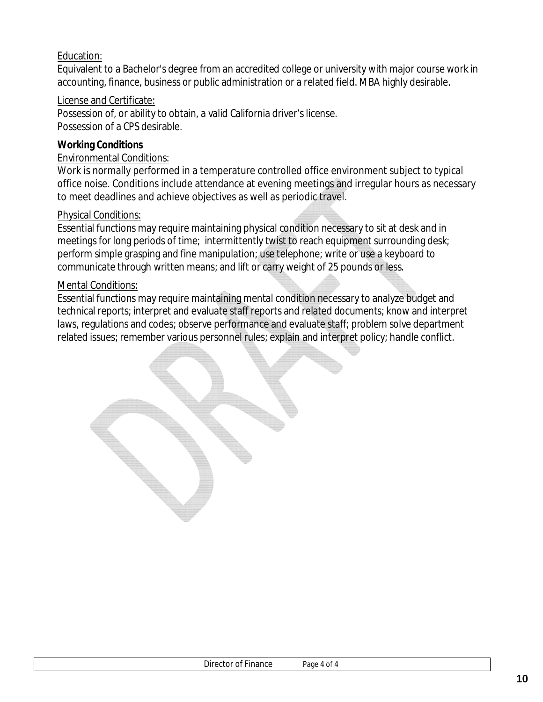## Education:

Equivalent to a Bachelor's degree from an accredited college or university with major course work in accounting, finance, business or public administration or a related field. MBA highly desirable.

#### License and Certificate:

Possession of, or ability to obtain, a valid California driver's license. Possession of a CPS desirable.

## **Working Conditions**

#### Environmental Conditions:

Work is normally performed in a temperature controlled office environment subject to typical office noise. Conditions include attendance at evening meetings and irregular hours as necessary to meet deadlines and achieve objectives as well as periodic travel.

## Physical Conditions:

Essential functions may require maintaining physical condition necessary to sit at desk and in meetings for long periods of time; intermittently twist to reach equipment surrounding desk; perform simple grasping and fine manipulation; use telephone; write or use a keyboard to communicate through written means; and lift or carry weight of 25 pounds or less.

#### Mental Conditions: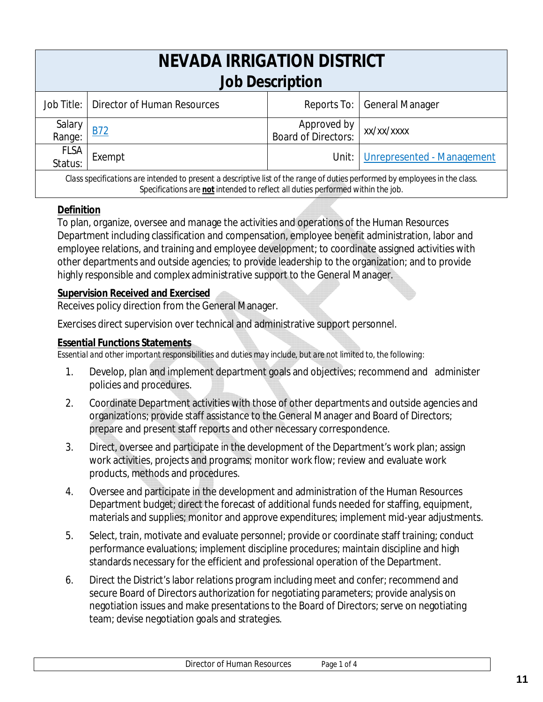| NEVADA IRRIGATION DISTRICT<br><b>Job Description</b>                                                                        |                                          |                                    |                                  |
|-----------------------------------------------------------------------------------------------------------------------------|------------------------------------------|------------------------------------|----------------------------------|
|                                                                                                                             | Job Title:   Director of Human Resources |                                    | Reports To:   General Manager    |
| Salary<br>Range:                                                                                                            | <b>B72</b>                               | Approved by<br>Board of Directors: | xx/xx/xxxx                       |
| <b>FLSA</b><br>Status:                                                                                                      | Exempt                                   |                                    | Unit: Unrepresented - Management |
| Class specifications are intended to present a descriptive list of the range of duties performed by employees in the class. |                                          |                                    |                                  |

#### *Specifications are not intended to reflect all duties performed within the job.*

#### **Definition**

To plan, organize, oversee and manage the activities and operations of the Human Resources Department including classification and compensation, employee benefit administration, labor and employee relations, and training and employee development; to coordinate assigned activities with other departments and outside agencies; to provide leadership to the organization; and to provide highly responsible and complex administrative support to the General Manager.

#### **Supervision Received and Exercised**

Receives policy direction from the General Manager.

Exercises direct supervision over technical and administrative support personnel.

#### **Essential Functions Statements**

- 1. Develop, plan and implement department goals and objectives; recommend and administer policies and procedures.
- 2. Coordinate Department activities with those of other departments and outside agencies and organizations; provide staff assistance to the General Manager and Board of Directors; prepare and present staff reports and other necessary correspondence.
- 3. Direct, oversee and participate in the development of the Department's work plan; assign work activities, projects and programs; monitor work flow; review and evaluate work products, methods and procedures.
- 4. Oversee and participate in the development and administration of the Human Resources Department budget; direct the forecast of additional funds needed for staffing, equipment, materials and supplies; monitor and approve expenditures; implement mid-year adjustments.
- 5. Select, train, motivate and evaluate personnel; provide or coordinate staff training; conduct performance evaluations; implement discipline procedures; maintain discipline and high standards necessary for the efficient and professional operation of the Department.
- 6. Direct the District's labor relations program including meet and confer; recommend and secure Board of Directors authorization for negotiating parameters; provide analysis on negotiation issues and make presentations to the Board of Directors; serve on negotiating team; devise negotiation goals and strategies.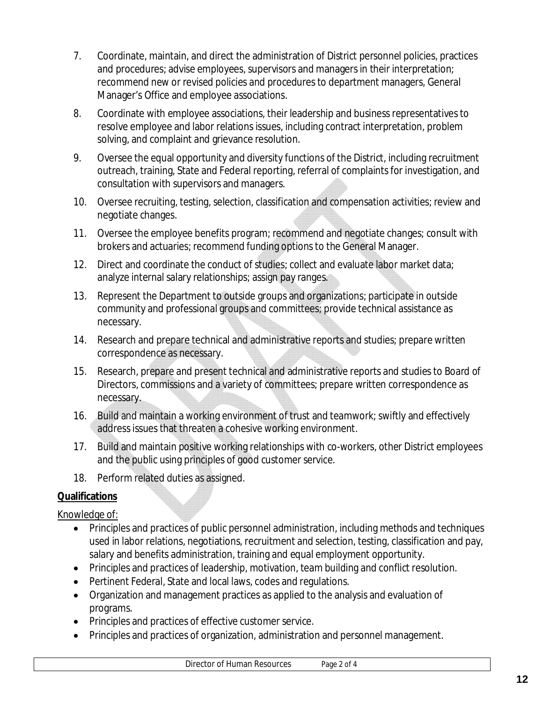- 7. Coordinate, maintain, and direct the administration of District personnel policies, practices and procedures; advise employees, supervisors and managers in their interpretation; recommend new or revised policies and procedures to department managers, General Manager's Office and employee associations.
- 8. Coordinate with employee associations, their leadership and business representatives to resolve employee and labor relations issues, including contract interpretation, problem solving, and complaint and grievance resolution.
- 9. Oversee the equal opportunity and diversity functions of the District, including recruitment outreach, training, State and Federal reporting, referral of complaints for investigation, and consultation with supervisors and managers.
- 10. Oversee recruiting, testing, selection, classification and compensation activities; review and negotiate changes.
- 11. Oversee the employee benefits program; recommend and negotiate changes; consult with brokers and actuaries; recommend funding options to the General Manager.
- 12. Direct and coordinate the conduct of studies; collect and evaluate labor market data; analyze internal salary relationships; assign pay ranges.
- 13. Represent the Department to outside groups and organizations; participate in outside community and professional groups and committees; provide technical assistance as necessary.
- 14. Research and prepare technical and administrative reports and studies; prepare written correspondence as necessary.
- 15. Research, prepare and present technical and administrative reports and studies to Board of Directors, commissions and a variety of committees; prepare written correspondence as necessary.
- 16. Build and maintain a working environment of trust and teamwork; swiftly and effectively address issues that threaten a cohesive working environment.
- 17. Build and maintain positive working relationships with co-workers, other District employees and the public using principles of good customer service.
- 18. Perform related duties as assigned.

# Knowledge of:

- Principles and practices of public personnel administration, including methods and techniques used in labor relations, negotiations, recruitment and selection, testing, classification and pay, salary and benefits administration, training and equal employment opportunity.
- Principles and practices of leadership, motivation, team building and conflict resolution.
- Pertinent Federal, State and local laws, codes and regulations.
- Organization and management practices as applied to the analysis and evaluation of programs.
- Principles and practices of effective customer service.
- Principles and practices of organization, administration and personnel management.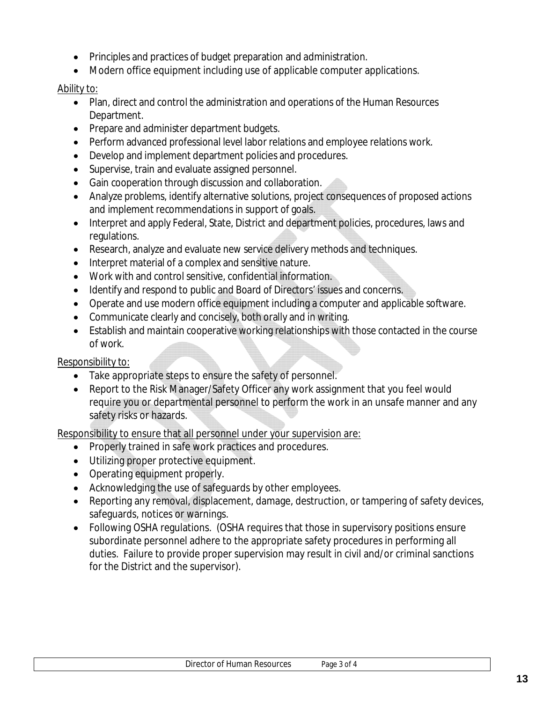- Principles and practices of budget preparation and administration.
- Modern office equipment including use of applicable computer applications.

## Ability to:

- Plan, direct and control the administration and operations of the Human Resources Department.
- Prepare and administer department budgets.
- Perform advanced professional level labor relations and employee relations work.
- Develop and implement department policies and procedures.
- Supervise, train and evaluate assigned personnel.
- Gain cooperation through discussion and collaboration.
- Analyze problems, identify alternative solutions, project consequences of proposed actions and implement recommendations in support of goals.
- Interpret and apply Federal, State, District and department policies, procedures, laws and regulations.
- Research, analyze and evaluate new service delivery methods and techniques.
- Interpret material of a complex and sensitive nature.
- Work with and control sensitive, confidential information.
- Identify and respond to public and Board of Directors' issues and concerns.
- Operate and use modern office equipment including a computer and applicable software.
- Communicate clearly and concisely, both orally and in writing.
- Establish and maintain cooperative working relationships with those contacted in the course of work.

# Responsibility to:

- Take appropriate steps to ensure the safety of personnel.
- Report to the Risk Manager/Safety Officer any work assignment that you feel would require you or departmental personnel to perform the work in an unsafe manner and any safety risks or hazards.

Responsibility to ensure that all personnel under your supervision are:

- Properly trained in safe work practices and procedures.
- Utilizing proper protective equipment.
- Operating equipment properly.
- Acknowledging the use of safeguards by other employees.
- Reporting any removal, displacement, damage, destruction, or tampering of safety devices, safeguards, notices or warnings.
- Following OSHA regulations. (OSHA requires that those in supervisory positions ensure subordinate personnel adhere to the appropriate safety procedures in performing all duties. Failure to provide proper supervision may result in civil and/or criminal sanctions for the District and the supervisor).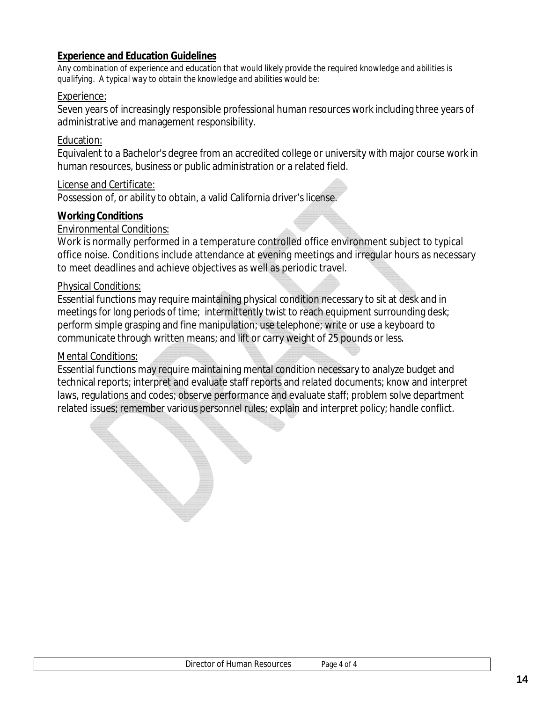#### **Experience and Education Guidelines**

*Any combination of experience and education that would likely provide the required knowledge and abilities is qualifying. A typical way to obtain the knowledge and abilities would be:*

#### Experience:

Seven years of increasingly responsible professional human resources work including three years of administrative and management responsibility.

#### Education:

Equivalent to a Bachelor's degree from an accredited college or university with major course work in human resources, business or public administration or a related field.

#### License and Certificate:

Possession of, or ability to obtain, a valid California driver's license.

#### **Working Conditions**

#### Environmental Conditions:

Work is normally performed in a temperature controlled office environment subject to typical office noise. Conditions include attendance at evening meetings and irregular hours as necessary to meet deadlines and achieve objectives as well as periodic travel.

#### Physical Conditions:

Essential functions may require maintaining physical condition necessary to sit at desk and in meetings for long periods of time; intermittently twist to reach equipment surrounding desk; perform simple grasping and fine manipulation; use telephone; write or use a keyboard to communicate through written means; and lift or carry weight of 25 pounds or less.

#### Mental Conditions: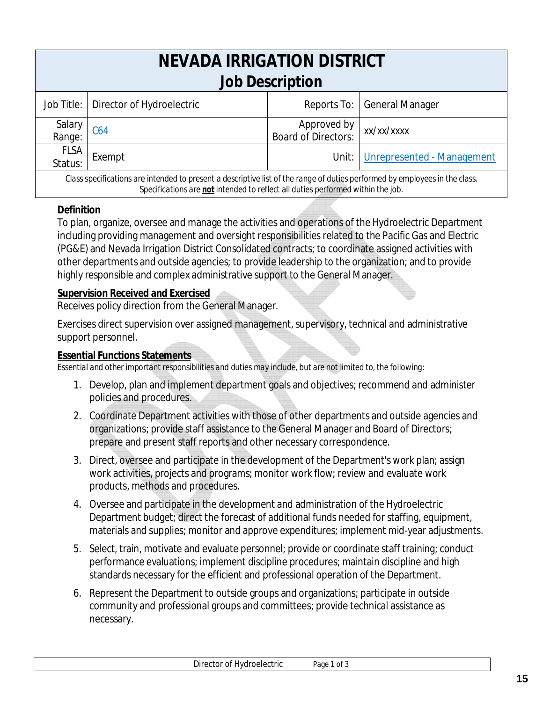| <b>NEVADA IRRIGATION DISTRICT</b><br><b>Job Description</b>                                                                 |                           |                                    |                                    |
|-----------------------------------------------------------------------------------------------------------------------------|---------------------------|------------------------------------|------------------------------------|
| Job Title:                                                                                                                  | Director of Hydroelectric |                                    | Reports To:   General Manager      |
| Salary<br>Range:                                                                                                            | C64                       | Approved by<br>Board of Directors: | xx/xx/xxxx                         |
| <b>FLSA</b><br>Status:                                                                                                      | Exempt                    |                                    | Unit:   Unrepresented - Management |
| Class specifications are intended to present a descriptive list of the range of duties performed by employees in the class. |                           |                                    |                                    |

## *Specifications are not intended to reflect all duties performed within the job.*

#### **Definition**

To plan, organize, oversee and manage the activities and operations of the Hydroelectric Department including providing management and oversight responsibilities related to the Pacific Gas and Electric (PG&E) and Nevada Irrigation District Consolidated contracts; to coordinate assigned activities with other departments and outside agencies; to provide leadership to the organization; and to provide highly responsible and complex administrative support to the General Manager.

#### **Supervision Received and Exercised**

Receives policy direction from the General Manager.

Exercises direct supervision over assigned management, supervisory, technical and administrative support personnel.

#### **Essential Functions Statements**

- 1. Develop, plan and implement department goals and objectives; recommend and administer policies and procedures.
- 2. Coordinate Department activities with those of other departments and outside agencies and organizations; provide staff assistance to the General Manager and Board of Directors; prepare and present staff reports and other necessary correspondence.
- 3. Direct, oversee and participate in the development of the Department's work plan; assign work activities, projects and programs; monitor work flow; review and evaluate work products, methods and procedures.
- 4. Oversee and participate in the development and administration of the Hydroelectric Department budget; direct the forecast of additional funds needed for staffing, equipment, materials and supplies; monitor and approve expenditures; implement mid-year adjustments.
- 5. Select, train, motivate and evaluate personnel; provide or coordinate staff training; conduct performance evaluations; implement discipline procedures; maintain discipline and high standards necessary for the efficient and professional operation of the Department.
- 6. Represent the Department to outside groups and organizations; participate in outside community and professional groups and committees; provide technical assistance as necessary.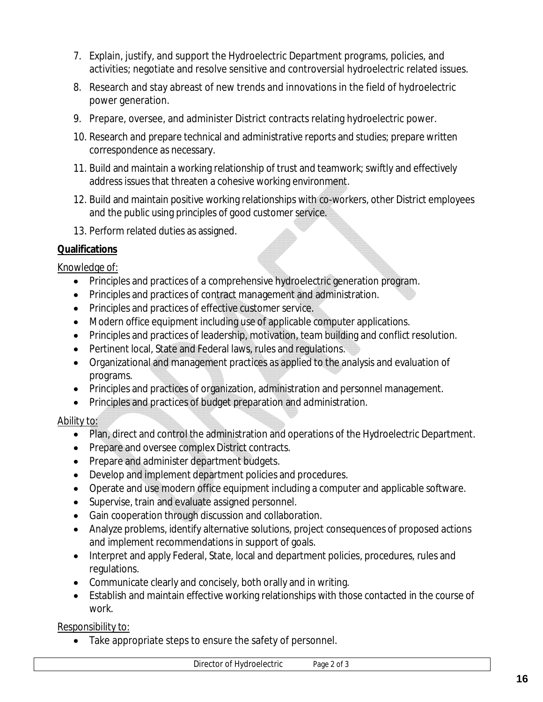- 7. Explain, justify, and support the Hydroelectric Department programs, policies, and activities; negotiate and resolve sensitive and controversial hydroelectric related issues.
- 8. Research and stay abreast of new trends and innovations in the field of hydroelectric power generation.
- 9. Prepare, oversee, and administer District contracts relating hydroelectric power.
- 10. Research and prepare technical and administrative reports and studies; prepare written correspondence as necessary.
- 11. Build and maintain a working relationship of trust and teamwork; swiftly and effectively address issues that threaten a cohesive working environment.
- 12. Build and maintain positive working relationships with co-workers, other District employees and the public using principles of good customer service.
- 13. Perform related duties as assigned.

Knowledge of:

- Principles and practices of a comprehensive hydroelectric generation program.
- Principles and practices of contract management and administration.
- Principles and practices of effective customer service.
- Modern office equipment including use of applicable computer applications.
- Principles and practices of leadership, motivation, team building and conflict resolution.
- Pertinent local, State and Federal laws, rules and regulations.
- Organizational and management practices as applied to the analysis and evaluation of programs.
- Principles and practices of organization, administration and personnel management.
- Principles and practices of budget preparation and administration.

# Ability to:

- Plan, direct and control the administration and operations of the Hydroelectric Department.
- Prepare and oversee complex District contracts.
- Prepare and administer department budgets.
- Develop and implement department policies and procedures.
- Operate and use modern office equipment including a computer and applicable software.
- Supervise, train and evaluate assigned personnel.
- Gain cooperation through discussion and collaboration.
- Analyze problems, identify alternative solutions, project consequences of proposed actions and implement recommendations in support of goals.
- Interpret and apply Federal, State, local and department policies, procedures, rules and regulations.
- Communicate clearly and concisely, both orally and in writing.
- Establish and maintain effective working relationships with those contacted in the course of work.

Responsibility to:

Take appropriate steps to ensure the safety of personnel.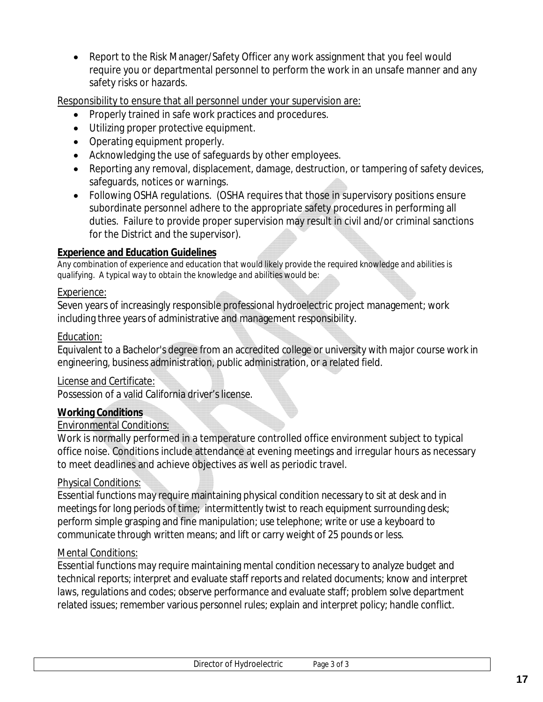Report to the Risk Manager/Safety Officer any work assignment that you feel would require you or departmental personnel to perform the work in an unsafe manner and any safety risks or hazards.

Responsibility to ensure that all personnel under your supervision are:

- Properly trained in safe work practices and procedures.
- Utilizing proper protective equipment.
- Operating equipment properly.
- Acknowledging the use of safeguards by other employees.
- Reporting any removal, displacement, damage, destruction, or tampering of safety devices, safeguards, notices or warnings.
- Following OSHA regulations. (OSHA requires that those in supervisory positions ensure subordinate personnel adhere to the appropriate safety procedures in performing all duties. Failure to provide proper supervision may result in civil and/or criminal sanctions for the District and the supervisor).

## **Experience and Education Guidelines**

*Any combination of experience and education that would likely provide the required knowledge and abilities is qualifying. A typical way to obtain the knowledge and abilities would be:*

#### Experience:

Seven years of increasingly responsible professional hydroelectric project management; work including three years of administrative and management responsibility.

## Education:

Equivalent to a Bachelor's degree from an accredited college or university with major course work in engineering, business administration, public administration, or a related field.

# License and Certificate:

Possession of a valid California driver's license.

# **Working Conditions**

# Environmental Conditions:

Work is normally performed in a temperature controlled office environment subject to typical office noise. Conditions include attendance at evening meetings and irregular hours as necessary to meet deadlines and achieve objectives as well as periodic travel.

# Physical Conditions:

Essential functions may require maintaining physical condition necessary to sit at desk and in meetings for long periods of time; intermittently twist to reach equipment surrounding desk; perform simple grasping and fine manipulation; use telephone; write or use a keyboard to communicate through written means; and lift or carry weight of 25 pounds or less.

# Mental Conditions: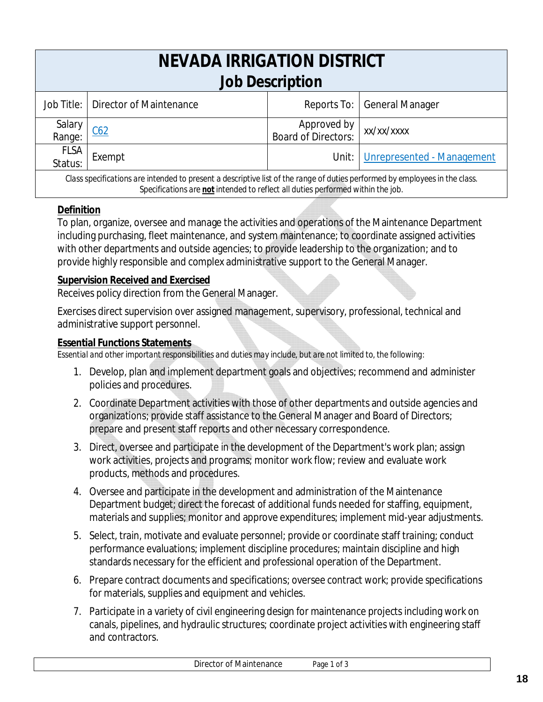| NEVADA IRRIGATION DISTRICT<br><b>Job Description</b>                                                                        |                                                          |                                    |                            |  |  |
|-----------------------------------------------------------------------------------------------------------------------------|----------------------------------------------------------|------------------------------------|----------------------------|--|--|
| Job Title: I                                                                                                                | Reports To:   General Manager<br>Director of Maintenance |                                    |                            |  |  |
| Salary<br>Range:                                                                                                            | C62                                                      | Approved by<br>Board of Directors: | xx/xx/xxxx                 |  |  |
| <b>FLSA</b><br>Status:                                                                                                      | Exempt                                                   | Unit: $\overline{\phantom{a}}$     | Unrepresented - Management |  |  |
| Class specifications are intended to present a descriptive list of the range of duties performed by employees in the class. |                                                          |                                    |                            |  |  |

## *Specifications are not intended to reflect all duties performed within the job.*

#### **Definition**

To plan, organize, oversee and manage the activities and operations of the Maintenance Department including purchasing, fleet maintenance, and system maintenance; to coordinate assigned activities with other departments and outside agencies; to provide leadership to the organization; and to provide highly responsible and complex administrative support to the General Manager.

## **Supervision Received and Exercised**

Receives policy direction from the General Manager.

Exercises direct supervision over assigned management, supervisory, professional, technical and administrative support personnel.

#### **Essential Functions Statements**

- 1. Develop, plan and implement department goals and objectives; recommend and administer policies and procedures.
- 2. Coordinate Department activities with those of other departments and outside agencies and organizations; provide staff assistance to the General Manager and Board of Directors; prepare and present staff reports and other necessary correspondence.
- 3. Direct, oversee and participate in the development of the Department's work plan; assign work activities, projects and programs; monitor work flow; review and evaluate work products, methods and procedures.
- 4. Oversee and participate in the development and administration of the Maintenance Department budget; direct the forecast of additional funds needed for staffing, equipment, materials and supplies; monitor and approve expenditures; implement mid-year adjustments.
- 5. Select, train, motivate and evaluate personnel; provide or coordinate staff training; conduct performance evaluations; implement discipline procedures; maintain discipline and high standards necessary for the efficient and professional operation of the Department.
- 6. Prepare contract documents and specifications; oversee contract work; provide specifications for materials, supplies and equipment and vehicles.
- 7. Participate in a variety of civil engineering design for maintenance projects including work on canals, pipelines, and hydraulic structures; coordinate project activities with engineering staff and contractors.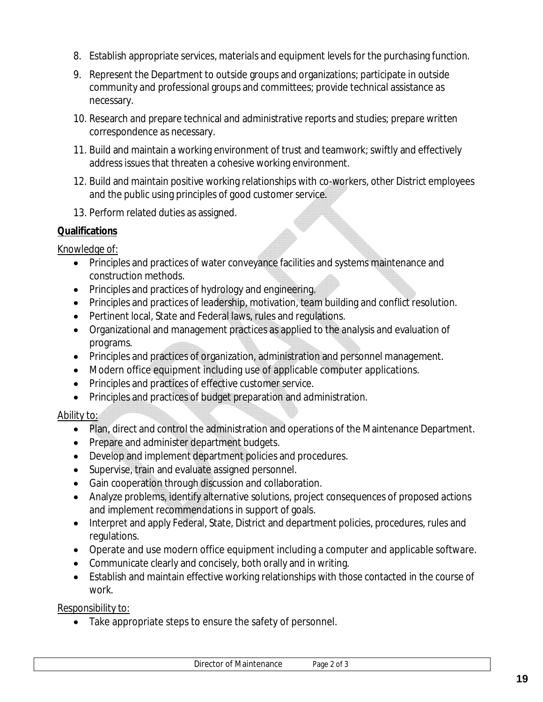- 8. Establish appropriate services, materials and equipment levels for the purchasing function.
- 9. Represent the Department to outside groups and organizations; participate in outside community and professional groups and committees; provide technical assistance as necessary.
- 10. Research and prepare technical and administrative reports and studies; prepare written correspondence as necessary.
- 11. Build and maintain a working environment of trust and teamwork; swiftly and effectively address issues that threaten a cohesive working environment.
- 12. Build and maintain positive working relationships with co-workers, other District employees and the public using principles of good customer service.
- 13. Perform related duties as assigned.

Knowledge of:

- Principles and practices of water conveyance facilities and systems maintenance and construction methods.
- Principles and practices of hydrology and engineering.
- Principles and practices of leadership, motivation, team building and conflict resolution.
- Pertinent local, State and Federal laws, rules and regulations.
- Organizational and management practices as applied to the analysis and evaluation of programs.
- Principles and practices of organization, administration and personnel management.
- Modern office equipment including use of applicable computer applications.
- Principles and practices of effective customer service.
- Principles and practices of budget preparation and administration.

# Ability to:

- Plan, direct and control the administration and operations of the Maintenance Department.
- Prepare and administer department budgets.
- Develop and implement department policies and procedures.
- Supervise, train and evaluate assigned personnel.
- Gain cooperation through discussion and collaboration.
- Analyze problems, identify alternative solutions, project consequences of proposed actions and implement recommendations in support of goals.
- Interpret and apply Federal, State, District and department policies, procedures, rules and regulations.
- Operate and use modern office equipment including a computer and applicable software.
- Communicate clearly and concisely, both orally and in writing.
- Establish and maintain effective working relationships with those contacted in the course of work.

Responsibility to:

• Take appropriate steps to ensure the safety of personnel.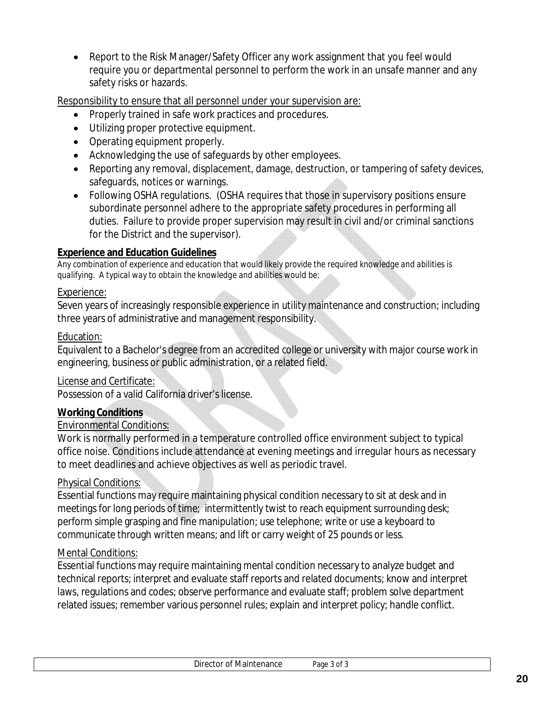Report to the Risk Manager/Safety Officer any work assignment that you feel would require you or departmental personnel to perform the work in an unsafe manner and any safety risks or hazards.

Responsibility to ensure that all personnel under your supervision are:

- Properly trained in safe work practices and procedures.
- Utilizing proper protective equipment.
- Operating equipment properly.
- Acknowledging the use of safeguards by other employees.
- Reporting any removal, displacement, damage, destruction, or tampering of safety devices, safeguards, notices or warnings.
- Following OSHA regulations. (OSHA requires that those in supervisory positions ensure subordinate personnel adhere to the appropriate safety procedures in performing all duties. Failure to provide proper supervision may result in civil and/or criminal sanctions for the District and the supervisor).

## **Experience and Education Guidelines**

*Any combination of experience and education that would likely provide the required knowledge and abilities is qualifying. A typical way to obtain the knowledge and abilities would be:*

#### Experience:

Seven years of increasingly responsible experience in utility maintenance and construction; including three years of administrative and management responsibility.

#### Education:

Equivalent to a Bachelor's degree from an accredited college or university with major course work in engineering, business or public administration, or a related field.

#### License and Certificate:

Possession of a valid California driver's license.

# **Working Conditions**

# Environmental Conditions:

Work is normally performed in a temperature controlled office environment subject to typical office noise. Conditions include attendance at evening meetings and irregular hours as necessary to meet deadlines and achieve objectives as well as periodic travel.

# Physical Conditions:

Essential functions may require maintaining physical condition necessary to sit at desk and in meetings for long periods of time; intermittently twist to reach equipment surrounding desk; perform simple grasping and fine manipulation; use telephone; write or use a keyboard to communicate through written means; and lift or carry weight of 25 pounds or less.

# Mental Conditions: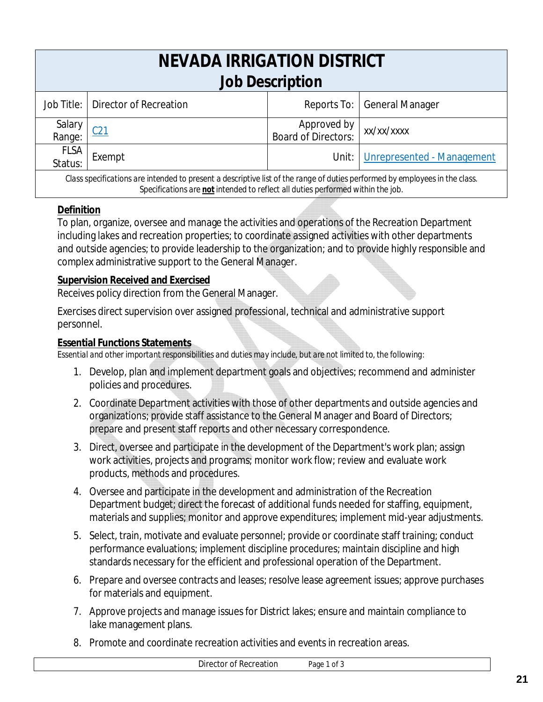| NEVADA IRRIGATION DISTRICT<br><b>Job Description</b>                                                                        |                                   |                                      |                                    |
|-----------------------------------------------------------------------------------------------------------------------------|-----------------------------------|--------------------------------------|------------------------------------|
|                                                                                                                             | Job Title: Director of Recreation |                                      | Reports To:   General Manager      |
| Salary<br>Range:                                                                                                            | C <sub>21</sub>                   | Approved by<br>  Board of Directors: | xx/xx/xxxx                         |
| <b>FLSA</b><br>Status:                                                                                                      | Exempt                            |                                      | Unit:   Unrepresented - Management |
| Class specifications are intended to present a descriptive list of the range of duties performed by employees in the class. |                                   |                                      |                                    |

#### *Specifications are not intended to reflect all duties performed within the job.*

#### **Definition**

To plan, organize, oversee and manage the activities and operations of the Recreation Department including lakes and recreation properties; to coordinate assigned activities with other departments and outside agencies; to provide leadership to the organization; and to provide highly responsible and complex administrative support to the General Manager.

#### **Supervision Received and Exercised**

Receives policy direction from the General Manager.

Exercises direct supervision over assigned professional, technical and administrative support personnel.

#### **Essential Functions Statements**

- 1. Develop, plan and implement department goals and objectives; recommend and administer policies and procedures.
- 2. Coordinate Department activities with those of other departments and outside agencies and organizations; provide staff assistance to the General Manager and Board of Directors; prepare and present staff reports and other necessary correspondence.
- 3. Direct, oversee and participate in the development of the Department's work plan; assign work activities, projects and programs; monitor work flow; review and evaluate work products, methods and procedures.
- 4. Oversee and participate in the development and administration of the Recreation Department budget; direct the forecast of additional funds needed for staffing, equipment, materials and supplies; monitor and approve expenditures; implement mid-year adjustments.
- 5. Select, train, motivate and evaluate personnel; provide or coordinate staff training; conduct performance evaluations; implement discipline procedures; maintain discipline and high standards necessary for the efficient and professional operation of the Department.
- 6. Prepare and oversee contracts and leases; resolve lease agreement issues; approve purchases for materials and equipment.
- 7. Approve projects and manage issues for District lakes; ensure and maintain compliance to lake management plans.
- 8. Promote and coordinate recreation activities and events in recreation areas.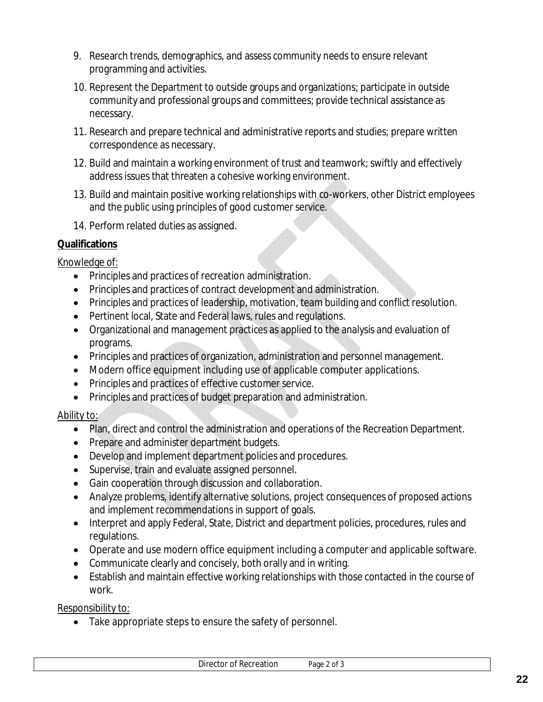- 9. Research trends, demographics, and assess community needs to ensure relevant programming and activities.
- 10. Represent the Department to outside groups and organizations; participate in outside community and professional groups and committees; provide technical assistance as necessary.
- 11. Research and prepare technical and administrative reports and studies; prepare written correspondence as necessary.
- 12. Build and maintain a working environment of trust and teamwork; swiftly and effectively address issues that threaten a cohesive working environment.
- 13. Build and maintain positive working relationships with co-workers, other District employees and the public using principles of good customer service.
- 14. Perform related duties as assigned.

## Knowledge of:

- Principles and practices of recreation administration.
- Principles and practices of contract development and administration.
- Principles and practices of leadership, motivation, team building and conflict resolution.
- Pertinent local, State and Federal laws, rules and regulations.
- Organizational and management practices as applied to the analysis and evaluation of programs.
- Principles and practices of organization, administration and personnel management.
- Modern office equipment including use of applicable computer applications.
- Principles and practices of effective customer service.
- Principles and practices of budget preparation and administration.

# Ability to:

- Plan, direct and control the administration and operations of the Recreation Department.
- Prepare and administer department budgets.
- Develop and implement department policies and procedures.
- Supervise, train and evaluate assigned personnel.
- Gain cooperation through discussion and collaboration.
- Analyze problems, identify alternative solutions, project consequences of proposed actions and implement recommendations in support of goals.
- Interpret and apply Federal, State, District and department policies, procedures, rules and regulations.
- Operate and use modern office equipment including a computer and applicable software.
- Communicate clearly and concisely, both orally and in writing.
- Establish and maintain effective working relationships with those contacted in the course of work.

Responsibility to:

• Take appropriate steps to ensure the safety of personnel.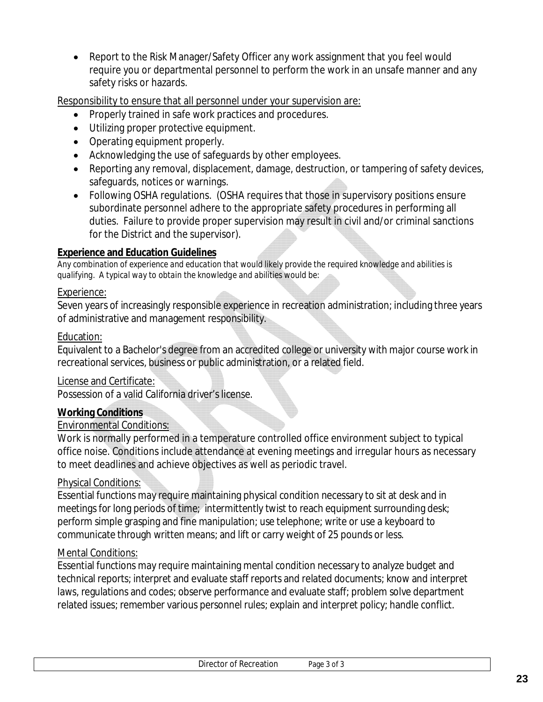Report to the Risk Manager/Safety Officer any work assignment that you feel would require you or departmental personnel to perform the work in an unsafe manner and any safety risks or hazards.

Responsibility to ensure that all personnel under your supervision are:

- Properly trained in safe work practices and procedures.
- Utilizing proper protective equipment.
- Operating equipment properly.
- Acknowledging the use of safeguards by other employees.
- Reporting any removal, displacement, damage, destruction, or tampering of safety devices, safeguards, notices or warnings.
- Following OSHA regulations. (OSHA requires that those in supervisory positions ensure subordinate personnel adhere to the appropriate safety procedures in performing all duties. Failure to provide proper supervision may result in civil and/or criminal sanctions for the District and the supervisor).

#### **Experience and Education Guidelines**

*Any combination of experience and education that would likely provide the required knowledge and abilities is qualifying. A typical way to obtain the knowledge and abilities would be:*

#### Experience:

Seven years of increasingly responsible experience in recreation administration; including three years of administrative and management responsibility.

#### Education:

Equivalent to a Bachelor's degree from an accredited college or university with major course work in recreational services, business or public administration, or a related field.

#### License and Certificate:

Possession of a valid California driver's license.

#### **Working Conditions**

#### Environmental Conditions:

Work is normally performed in a temperature controlled office environment subject to typical office noise. Conditions include attendance at evening meetings and irregular hours as necessary to meet deadlines and achieve objectives as well as periodic travel.

#### Physical Conditions:

Essential functions may require maintaining physical condition necessary to sit at desk and in meetings for long periods of time; intermittently twist to reach equipment surrounding desk; perform simple grasping and fine manipulation; use telephone; write or use a keyboard to communicate through written means; and lift or carry weight of 25 pounds or less.

#### Mental Conditions: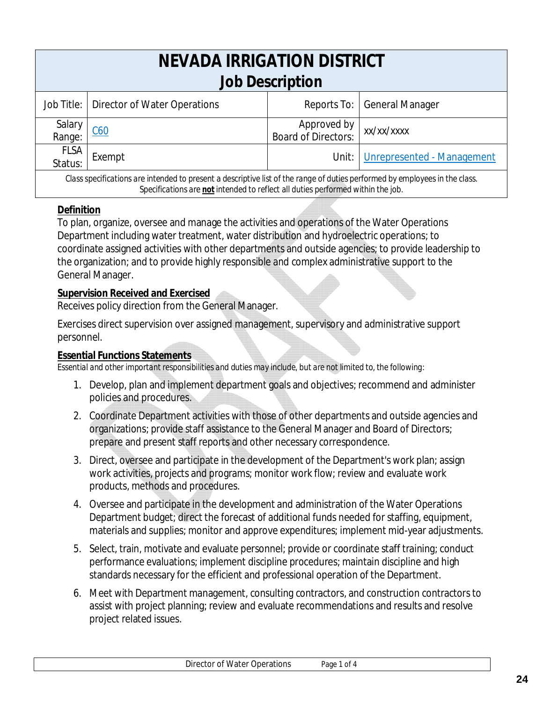| NEVADA IRRIGATION DISTRICT<br><b>Job Description</b>                                                                        |                                           |                                    |                                  |
|-----------------------------------------------------------------------------------------------------------------------------|-------------------------------------------|------------------------------------|----------------------------------|
|                                                                                                                             | Job Title:   Director of Water Operations |                                    | Reports To:   General Manager    |
| Salary<br>Range:                                                                                                            | C60                                       | Approved by<br>Board of Directors: | xx/xx/xxxx                       |
| <b>FLSA</b><br>Status:                                                                                                      | Exempt                                    |                                    | Unit: Unrepresented - Management |
| Class specifications are intended to present a descriptive list of the range of duties performed by employees in the class. |                                           |                                    |                                  |

# *Specifications are not intended to reflect all duties performed within the job.* **Definition**

To plan, organize, oversee and manage the activities and operations of the Water Operations Department including water treatment, water distribution and hydroelectric operations; to coordinate assigned activities with other departments and outside agencies; to provide leadership to the organization; and to provide highly responsible and complex administrative support to the General Manager.

#### **Supervision Received and Exercised**

Receives policy direction from the General Manager.

Exercises direct supervision over assigned management, supervisory and administrative support personnel.

#### **Essential Functions Statements**

- 1. Develop, plan and implement department goals and objectives; recommend and administer policies and procedures.
- 2. Coordinate Department activities with those of other departments and outside agencies and organizations; provide staff assistance to the General Manager and Board of Directors; prepare and present staff reports and other necessary correspondence.
- 3. Direct, oversee and participate in the development of the Department's work plan; assign work activities, projects and programs; monitor work flow; review and evaluate work products, methods and procedures.
- 4. Oversee and participate in the development and administration of the Water Operations Department budget; direct the forecast of additional funds needed for staffing, equipment, materials and supplies; monitor and approve expenditures; implement mid-year adjustments.
- 5. Select, train, motivate and evaluate personnel; provide or coordinate staff training; conduct performance evaluations; implement discipline procedures; maintain discipline and high standards necessary for the efficient and professional operation of the Department.
- 6. Meet with Department management, consulting contractors, and construction contractors to assist with project planning; review and evaluate recommendations and results and resolve project related issues.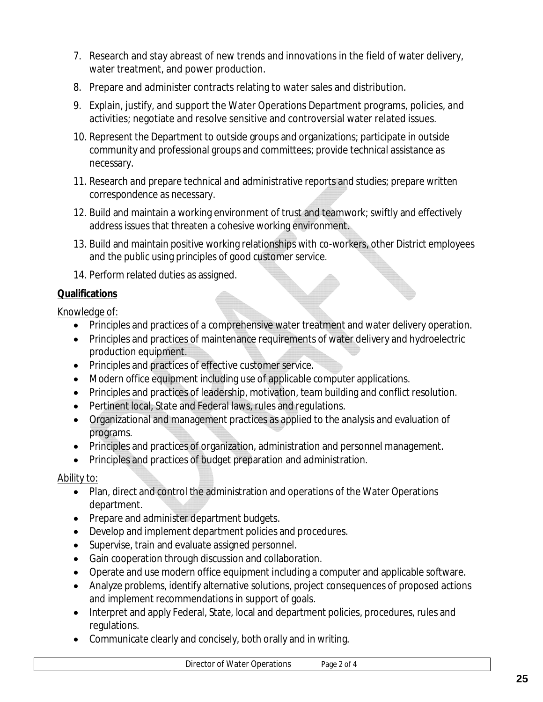- 7. Research and stay abreast of new trends and innovations in the field of water delivery, water treatment, and power production.
- 8. Prepare and administer contracts relating to water sales and distribution.
- 9. Explain, justify, and support the Water Operations Department programs, policies, and activities; negotiate and resolve sensitive and controversial water related issues.
- 10. Represent the Department to outside groups and organizations; participate in outside community and professional groups and committees; provide technical assistance as necessary.
- 11. Research and prepare technical and administrative reports and studies; prepare written correspondence as necessary.
- 12. Build and maintain a working environment of trust and teamwork; swiftly and effectively address issues that threaten a cohesive working environment.
- 13. Build and maintain positive working relationships with co-workers, other District employees and the public using principles of good customer service.
- 14. Perform related duties as assigned.

## Knowledge of:

- Principles and practices of a comprehensive water treatment and water delivery operation.
- Principles and practices of maintenance requirements of water delivery and hydroelectric production equipment.
- Principles and practices of effective customer service.
- Modern office equipment including use of applicable computer applications.
- Principles and practices of leadership, motivation, team building and conflict resolution.
- Pertinent local, State and Federal laws, rules and regulations.
- Organizational and management practices as applied to the analysis and evaluation of programs.
- Principles and practices of organization, administration and personnel management.
- Principles and practices of budget preparation and administration.

# Ability to:

- Plan, direct and control the administration and operations of the Water Operations department.
- Prepare and administer department budgets.
- Develop and implement department policies and procedures.
- Supervise, train and evaluate assigned personnel.
- Gain cooperation through discussion and collaboration.
- Operate and use modern office equipment including a computer and applicable software.
- Analyze problems, identify alternative solutions, project consequences of proposed actions and implement recommendations in support of goals.
- Interpret and apply Federal, State, local and department policies, procedures, rules and regulations.
- Communicate clearly and concisely, both orally and in writing.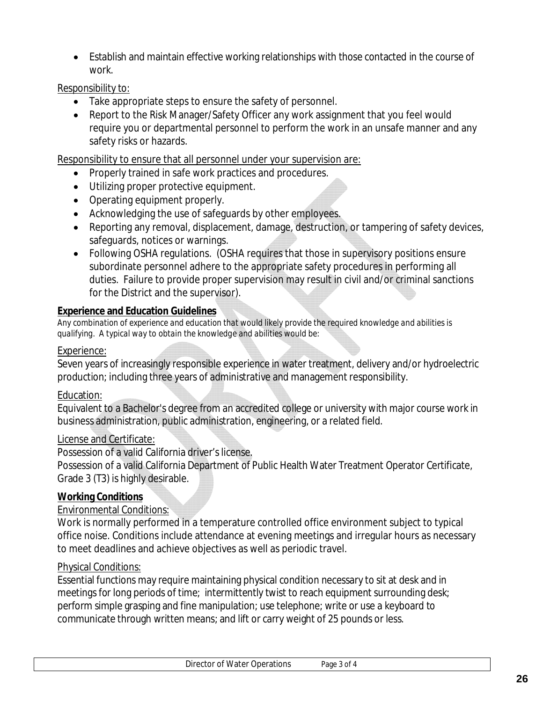Establish and maintain effective working relationships with those contacted in the course of work.

#### Responsibility to:

- Take appropriate steps to ensure the safety of personnel.
- Report to the Risk Manager/Safety Officer any work assignment that you feel would require you or departmental personnel to perform the work in an unsafe manner and any safety risks or hazards.

Responsibility to ensure that all personnel under your supervision are:

- Properly trained in safe work practices and procedures.
- Utilizing proper protective equipment.
- Operating equipment properly.
- Acknowledging the use of safeguards by other employees.
- Reporting any removal, displacement, damage, destruction, or tampering of safety devices, safeguards, notices or warnings.
- Following OSHA regulations. (OSHA requires that those in supervisory positions ensure subordinate personnel adhere to the appropriate safety procedures in performing all duties. Failure to provide proper supervision may result in civil and/or criminal sanctions for the District and the supervisor).

#### **Experience and Education Guidelines**

*Any combination of experience and education that would likely provide the required knowledge and abilities is qualifying. A typical way to obtain the knowledge and abilities would be:*

#### Experience:

Seven years of increasingly responsible experience in water treatment, delivery and/or hydroelectric production; including three years of administrative and management responsibility.

#### Education:

Equivalent to a Bachelor's degree from an accredited college or university with major course work in business administration, public administration, engineering, or a related field.

#### License and Certificate:

Possession of a valid California driver's license.

Possession of a valid California Department of Public Health Water Treatment Operator Certificate, Grade 3 (T3) is highly desirable.

#### **Working Conditions**

#### Environmental Conditions:

Work is normally performed in a temperature controlled office environment subject to typical office noise. Conditions include attendance at evening meetings and irregular hours as necessary to meet deadlines and achieve objectives as well as periodic travel.

#### Physical Conditions:

Essential functions may require maintaining physical condition necessary to sit at desk and in meetings for long periods of time; intermittently twist to reach equipment surrounding desk; perform simple grasping and fine manipulation; use telephone; write or use a keyboard to communicate through written means; and lift or carry weight of 25 pounds or less.